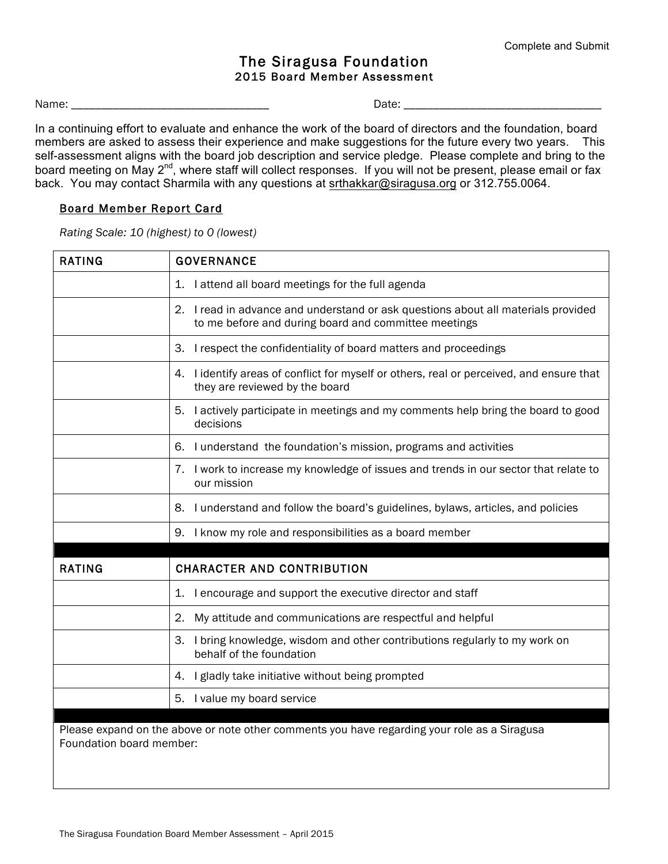## The Siragusa Foundation 2015 Board Member Assessment

Name: \_\_\_\_\_\_\_\_\_\_\_\_\_\_\_\_\_\_\_\_\_\_\_\_\_\_\_\_\_\_\_\_\_ Date: \_\_\_\_\_\_\_\_\_\_\_\_\_\_\_\_\_\_\_\_\_\_\_\_\_\_\_\_\_\_\_\_\_

In a continuing effort to evaluate and enhance the work of the board of directors and the foundation, board members are asked to assess their experience and make suggestions for the future every two years. This self-assessment aligns with the board job description and service pledge. Please complete and bring to the board meeting on May 2<sup>nd</sup>, where staff will collect responses. If you will not be present, please email or fax back. You may contact Sharmila with any questions at srthakkar@siragusa.org or 312.755.0064.

## Board Member Report Card

*Rating Scale: 10 (highest) to 0 (lowest)*

| <b>RATING</b>            | <b>GOVERNANCE</b>                                                                                                                         |  |  |  |  |
|--------------------------|-------------------------------------------------------------------------------------------------------------------------------------------|--|--|--|--|
|                          | I attend all board meetings for the full agenda<br>1.                                                                                     |  |  |  |  |
|                          | 2. I read in advance and understand or ask questions about all materials provided<br>to me before and during board and committee meetings |  |  |  |  |
|                          | I respect the confidentiality of board matters and proceedings<br>3.                                                                      |  |  |  |  |
|                          | I identify areas of conflict for myself or others, real or perceived, and ensure that<br>4.<br>they are reviewed by the board             |  |  |  |  |
|                          | I actively participate in meetings and my comments help bring the board to good<br>5.<br>decisions                                        |  |  |  |  |
|                          | 6. I understand the foundation's mission, programs and activities                                                                         |  |  |  |  |
|                          | I work to increase my knowledge of issues and trends in our sector that relate to<br>7.<br>our mission                                    |  |  |  |  |
|                          | I understand and follow the board's guidelines, bylaws, articles, and policies<br>8.                                                      |  |  |  |  |
|                          | 9. I know my role and responsibilities as a board member                                                                                  |  |  |  |  |
| <b>RATING</b>            | <b>CHARACTER AND CONTRIBUTION</b>                                                                                                         |  |  |  |  |
|                          | I encourage and support the executive director and staff<br>1.                                                                            |  |  |  |  |
|                          | 2.<br>My attitude and communications are respectful and helpful                                                                           |  |  |  |  |
|                          | I bring knowledge, wisdom and other contributions regularly to my work on<br>3.<br>behalf of the foundation                               |  |  |  |  |
|                          | I gladly take initiative without being prompted<br>4.                                                                                     |  |  |  |  |
|                          | I value my board service<br>5.                                                                                                            |  |  |  |  |
| Foundation board member: | Please expand on the above or note other comments you have regarding your role as a Siragusa                                              |  |  |  |  |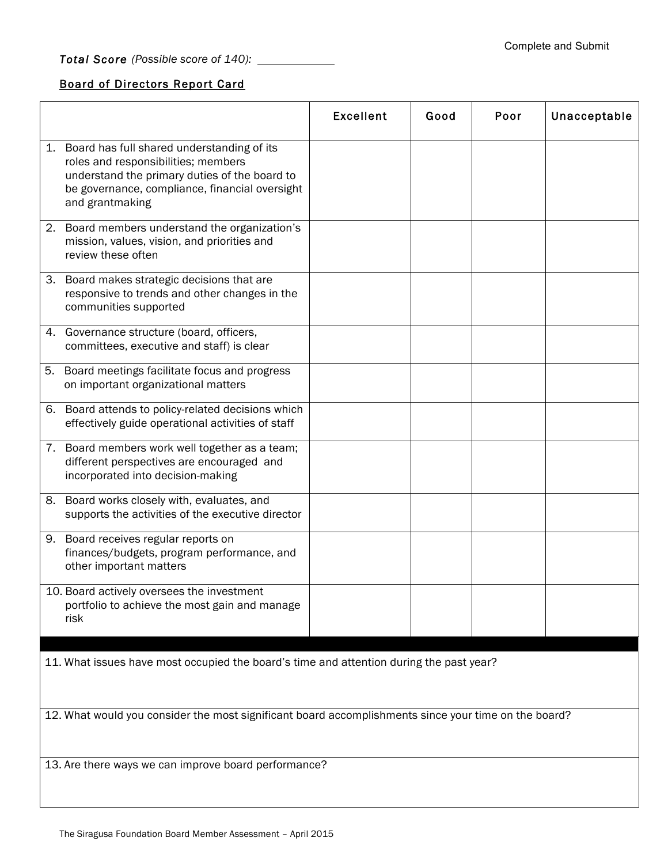*Total Score (Possible score of 140):* 

## Board of Directors Report Card

|                                                                                         |                                                                                                                                                                                                            | <b>Excellent</b> | Good | Poor | Unacceptable |  |  |
|-----------------------------------------------------------------------------------------|------------------------------------------------------------------------------------------------------------------------------------------------------------------------------------------------------------|------------------|------|------|--------------|--|--|
|                                                                                         | 1. Board has full shared understanding of its<br>roles and responsibilities; members<br>understand the primary duties of the board to<br>be governance, compliance, financial oversight<br>and grantmaking |                  |      |      |              |  |  |
|                                                                                         | 2. Board members understand the organization's<br>mission, values, vision, and priorities and<br>review these often                                                                                        |                  |      |      |              |  |  |
| 3.                                                                                      | Board makes strategic decisions that are<br>responsive to trends and other changes in the<br>communities supported                                                                                         |                  |      |      |              |  |  |
|                                                                                         | 4. Governance structure (board, officers,<br>committees, executive and staff) is clear                                                                                                                     |                  |      |      |              |  |  |
| 5.                                                                                      | Board meetings facilitate focus and progress<br>on important organizational matters                                                                                                                        |                  |      |      |              |  |  |
| 6.                                                                                      | Board attends to policy-related decisions which<br>effectively guide operational activities of staff                                                                                                       |                  |      |      |              |  |  |
|                                                                                         | 7. Board members work well together as a team;<br>different perspectives are encouraged and<br>incorporated into decision-making                                                                           |                  |      |      |              |  |  |
| 8.                                                                                      | Board works closely with, evaluates, and<br>supports the activities of the executive director                                                                                                              |                  |      |      |              |  |  |
| 9.                                                                                      | Board receives regular reports on<br>finances/budgets, program performance, and<br>other important matters                                                                                                 |                  |      |      |              |  |  |
|                                                                                         | 10. Board actively oversees the investment<br>portfolio to achieve the most gain and manage<br>risk                                                                                                        |                  |      |      |              |  |  |
| 11. What issues have most occupied the board's time and attention during the past year? |                                                                                                                                                                                                            |                  |      |      |              |  |  |
|                                                                                         | 12. What would you consider the most significant board accomplishments since your time on the board?                                                                                                       |                  |      |      |              |  |  |
|                                                                                         | 13. Are there ways we can improve board performance?                                                                                                                                                       |                  |      |      |              |  |  |